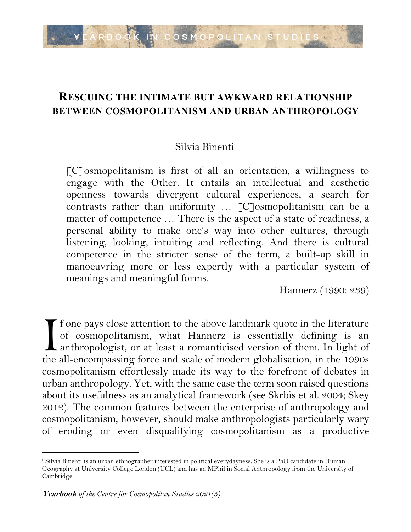

## **RESCUING THE INTIMATE BUT AWKWARD RELATIONSHIP BETWEEN COSMOPOLITANISM AND URBAN ANTHROPOLOGY**

#### Silvia Binentii

 $\lceil C \rceil$ osmopolitanism is first of all an orientation, a willingness to engage with the Other. It entails an intellectual and aesthetic openness towards divergent cultural experiences, a search for contrasts rather than uniformity … [C]osmopolitanism can be a matter of competence … There is the aspect of a state of readiness, a personal ability to make one's way into other cultures, through listening, looking, intuiting and reflecting. And there is cultural competence in the stricter sense of the term, a built-up skill in manoeuvring more or less expertly with a particular system of meanings and meaningful forms.

Hannerz (1990: 239)

f one pays close attention to the above landmark quote in the literature of cosmopolitanism, what Hannerz is essentially defining is an anthropologist, or at least a romanticised version of them. In light of If one pays close attention to the above landmark quote in the literature of cosmopolitanism, what Hannerz is essentially defining is an anthropologist, or at least a romanticised version of them. In light of the all-encom cosmopolitanism effortlessly made its way to the forefront of debates in urban anthropology. Yet, with the same ease the term soon raised questions about its usefulness as an analytical framework (see Skrbis et al. 2004; Skey 2012). The common features between the enterprise of anthropology and cosmopolitanism, however, should make anthropologists particularly wary of eroding or even disqualifying cosmopolitanism as a productive

<sup>&</sup>lt;sup>i</sup> Silvia Binenti is an urban ethnographer interested in political everydayness. She is a PhD candidate in Human Geography at University College London (UCL) and has an MPhil in Social Anthropology from the University of Cambridge.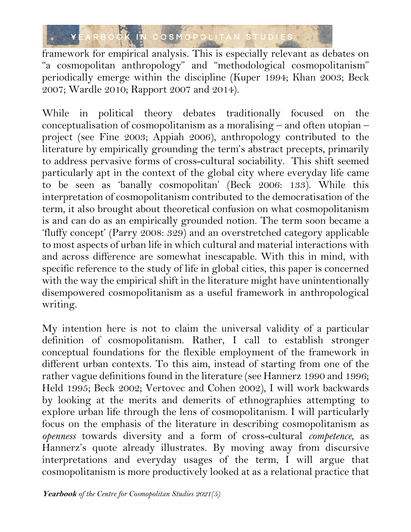

framework for empirical analysis. This is especially relevant as debates on "a cosmopolitan anthropology" and "methodological cosmopolitanism" periodically emerge within the discipline (Kuper 1994; Khan 2003; Beck 2007; Wardle 2010; Rapport 2007 and 2014).

While in political theory debates traditionally focused on the conceptualisation of cosmopolitanism as a moralising – and often utopian – project (see Fine 2003; Appiah 2006), anthropology contributed to the literature by empirically grounding the term's abstract precepts, primarily to address pervasive forms of cross-cultural sociability. This shift seemed particularly apt in the context of the global city where everyday life came to be seen as 'banally cosmopolitan' (Beck 2006: 133). While this interpretation of cosmopolitanism contributed to the democratisation of the term, it also brought about theoretical confusion on what cosmopolitanism is and can do as an empirically grounded notion. The term soon became a 'fluffy concept' (Parry 2008: 329) and an overstretched category applicable to most aspects of urban life in which cultural and material interactions with and across difference are somewhat inescapable. With this in mind, with specific reference to the study of life in global cities, this paper is concerned with the way the empirical shift in the literature might have unintentionally disempowered cosmopolitanism as a useful framework in anthropological writing.

My intention here is not to claim the universal validity of a particular definition of cosmopolitanism. Rather, I call to establish stronger conceptual foundations for the flexible employment of the framework in different urban contexts. To this aim, instead of starting from one of the rather vague definitions found in the literature (see Hannerz 1990 and 1996; Held 1995; Beck 2002; Vertovec and Cohen 2002), I will work backwards by looking at the merits and demerits of ethnographies attempting to explore urban life through the lens of cosmopolitanism. I will particularly focus on the emphasis of the literature in describing cosmopolitanism as *openness* towards diversity and a form of cross-cultural *competence*, as Hannerz's quote already illustrates. By moving away from discursive interpretations and everyday usages of the term, I will argue that cosmopolitanism is more productively looked at as a relational practice that

2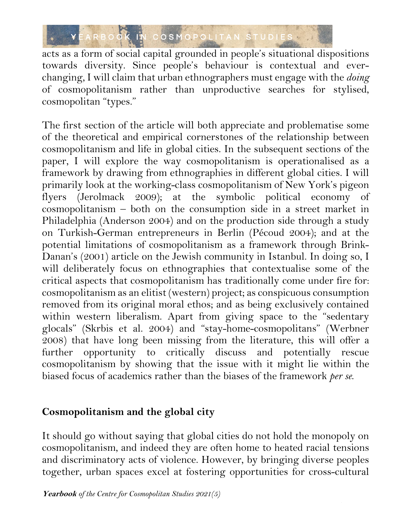

acts as a form of social capital grounded in people's situational dispositions towards diversity. Since people's behaviour is contextual and everchanging, I will claim that urban ethnographers must engage with the *doing* of cosmopolitanism rather than unproductive searches for stylised, cosmopolitan "types."

The first section of the article will both appreciate and problematise some of the theoretical and empirical cornerstones of the relationship between cosmopolitanism and life in global cities. In the subsequent sections of the paper, I will explore the way cosmopolitanism is operationalised as a framework by drawing from ethnographies in different global cities. I will primarily look at the working-class cosmopolitanism of New York's pigeon flyers (Jerolmack 2009); at the symbolic political economy of cosmopolitanism – both on the consumption side in a street market in Philadelphia (Anderson 2004) and on the production side through a study on Turkish-German entrepreneurs in Berlin (Pécoud 2004); and at the potential limitations of cosmopolitanism as a framework through Brink-Danan's (2001) article on the Jewish community in Istanbul. In doing so, I will deliberately focus on ethnographies that contextualise some of the critical aspects that cosmopolitanism has traditionally come under fire for: cosmopolitanism as an elitist (western) project; as conspicuous consumption removed from its original moral ethos; and as being exclusively contained within western liberalism. Apart from giving space to the "sedentary glocals" (Skrbis et al. 2004) and "stay-home-cosmopolitans" (Werbner 2008) that have long been missing from the literature, this will offer a further opportunity to critically discuss and potentially rescue cosmopolitanism by showing that the issue with it might lie within the biased focus of academics rather than the biases of the framework *per se*.

### **Cosmopolitanism and the global city**

It should go without saying that global cities do not hold the monopoly on cosmopolitanism, and indeed they are often home to heated racial tensions and discriminatory acts of violence. However, by bringing diverse peoples together, urban spaces excel at fostering opportunities for cross-cultural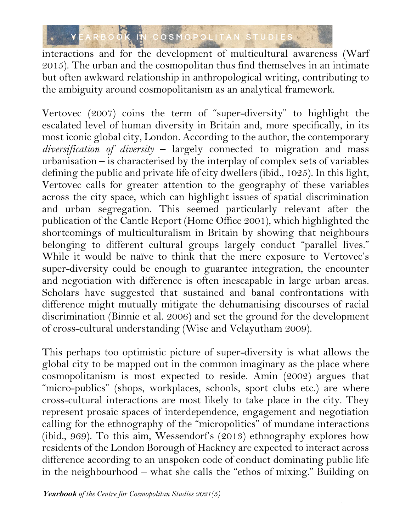

interactions and for the development of multicultural awareness (Warf 2015). The urban and the cosmopolitan thus find themselves in an intimate but often awkward relationship in anthropological writing, contributing to the ambiguity around cosmopolitanism as an analytical framework.

Vertovec (2007) coins the term of "super-diversity" to highlight the escalated level of human diversity in Britain and, more specifically, in its most iconic global city, London. According to the author, the contemporary *diversification of diversity* – largely connected to migration and mass urbanisation – is characterised by the interplay of complex sets of variables defining the public and private life of city dwellers (ibid., 1025). In this light, Vertovec calls for greater attention to the geography of these variables across the city space, which can highlight issues of spatial discrimination and urban segregation. This seemed particularly relevant after the publication of the Cantle Report (Home Office 2001), which highlighted the shortcomings of multiculturalism in Britain by showing that neighbours belonging to different cultural groups largely conduct "parallel lives." While it would be naïve to think that the mere exposure to Vertovec's super-diversity could be enough to guarantee integration, the encounter and negotiation with difference is often inescapable in large urban areas. Scholars have suggested that sustained and banal confrontations with difference might mutually mitigate the dehumanising discourses of racial discrimination (Binnie et al. 2006) and set the ground for the development of cross-cultural understanding (Wise and Velayutham 2009).

This perhaps too optimistic picture of super-diversity is what allows the global city to be mapped out in the common imaginary as the place where cosmopolitanism is most expected to reside. Amin (2002) argues that "micro-publics" (shops, workplaces, schools, sport clubs etc.) are where cross-cultural interactions are most likely to take place in the city. They represent prosaic spaces of interdependence, engagement and negotiation calling for the ethnography of the "micropolitics" of mundane interactions (ibid., 969). To this aim, Wessendorf's (2013) ethnography explores how residents of the London Borough of Hackney are expected to interact across difference according to an unspoken code of conduct dominating public life in the neighbourhood – what she calls the "ethos of mixing." Building on

4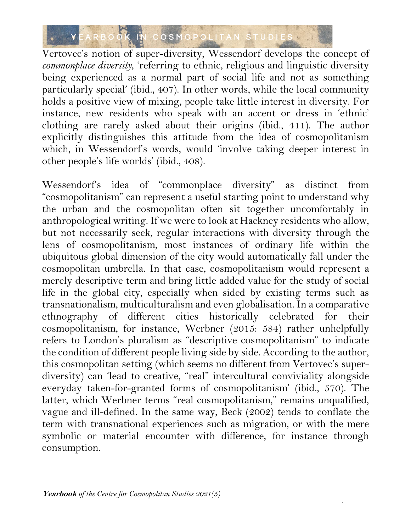

Vertovec's notion of super-diversity, Wessendorf develops the concept of *commonplace diversity*, 'referring to ethnic, religious and linguistic diversity being experienced as a normal part of social life and not as something particularly special' (ibid., 407). In other words, while the local community holds a positive view of mixing, people take little interest in diversity. For instance, new residents who speak with an accent or dress in 'ethnic' clothing are rarely asked about their origins (ibid., 411). The author explicitly distinguishes this attitude from the idea of cosmopolitanism which, in Wessendorf's words, would 'involve taking deeper interest in other people's life worlds' (ibid., 408).

Wessendorf's idea of "commonplace diversity" as distinct from "cosmopolitanism" can represent a useful starting point to understand why the urban and the cosmopolitan often sit together uncomfortably in anthropological writing. If we were to look at Hackney residents who allow, but not necessarily seek, regular interactions with diversity through the lens of cosmopolitanism, most instances of ordinary life within the ubiquitous global dimension of the city would automatically fall under the cosmopolitan umbrella. In that case, cosmopolitanism would represent a merely descriptive term and bring little added value for the study of social life in the global city, especially when sided by existing terms such as transnationalism, multiculturalism and even globalisation. In a comparative ethnography of different cities historically celebrated for their cosmopolitanism, for instance, Werbner (2015: 584) rather unhelpfully refers to London's pluralism as "descriptive cosmopolitanism" to indicate the condition of different people living side by side. According to the author, this cosmopolitan setting (which seems no different from Vertovec's superdiversity) can 'lead to creative, "real" intercultural conviviality alongside everyday taken-for-granted forms of cosmopolitanism' (ibid., 570). The latter, which Werbner terms "real cosmopolitanism," remains unqualified, vague and ill-defined. In the same way, Beck (2002) tends to conflate the term with transnational experiences such as migration, or with the mere symbolic or material encounter with difference, for instance through consumption.

5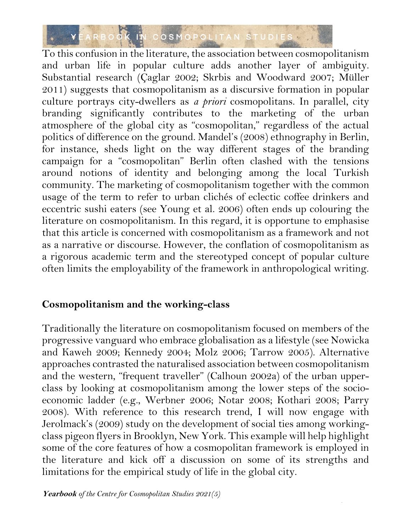

To this confusion in the literature, the association between cosmopolitanism and urban life in popular culture adds another layer of ambiguity. Substantial research (Çaglar 2002; Skrbis and Woodward 2007; Müller 2011) suggests that cosmopolitanism as a discursive formation in popular culture portrays city-dwellers as *a priori* cosmopolitans. In parallel, city branding significantly contributes to the marketing of the urban atmosphere of the global city as "cosmopolitan," regardless of the actual politics of difference on the ground. Mandel's (2008) ethnography in Berlin, for instance, sheds light on the way different stages of the branding campaign for a "cosmopolitan" Berlin often clashed with the tensions around notions of identity and belonging among the local Turkish community. The marketing of cosmopolitanism together with the common usage of the term to refer to urban clichés of eclectic coffee drinkers and eccentric sushi eaters (see Young et al. 2006) often ends up colouring the literature on cosmopolitanism. In this regard, it is opportune to emphasise that this article is concerned with cosmopolitanism as a framework and not as a narrative or discourse. However, the conflation of cosmopolitanism as a rigorous academic term and the stereotyped concept of popular culture often limits the employability of the framework in anthropological writing.

### **Cosmopolitanism and the working-class**

Traditionally the literature on cosmopolitanism focused on members of the progressive vanguard who embrace globalisation as a lifestyle (see Nowicka and Kaweh 2009; Kennedy 2004; Molz 2006; Tarrow 2005). Alternative approaches contrasted the naturalised association between cosmopolitanism and the western, "frequent traveller" (Calhoun 2002a) of the urban upperclass by looking at cosmopolitanism among the lower steps of the socioeconomic ladder (e.g., Werbner 2006; Notar 2008; Kothari 2008; Parry 2008). With reference to this research trend, I will now engage with Jerolmack's (2009) study on the development of social ties among workingclass pigeon flyers in Brooklyn, New York. This example will help highlight some of the core features of how a cosmopolitan framework is employed in the literature and kick off a discussion on some of its strengths and limitations for the empirical study of life in the global city.

6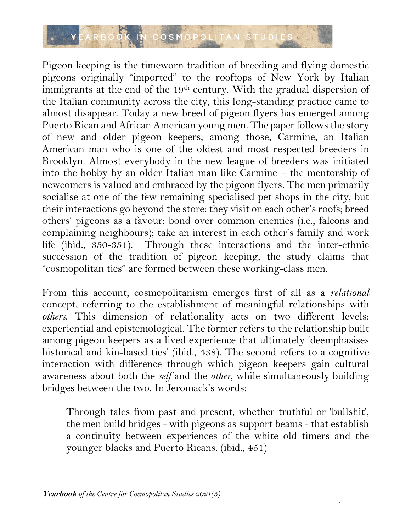

Pigeon keeping is the timeworn tradition of breeding and flying domestic pigeons originally "imported" to the rooftops of New York by Italian immigrants at the end of the 19<sup>th</sup> century. With the gradual dispersion of the Italian community across the city, this long-standing practice came to almost disappear. Today a new breed of pigeon flyers has emerged among Puerto Rican and African American young men. The paper follows the story of new and older pigeon keepers; among those, Carmine, an Italian American man who is one of the oldest and most respected breeders in Brooklyn. Almost everybody in the new league of breeders was initiated into the hobby by an older Italian man like Carmine – the mentorship of newcomers is valued and embraced by the pigeon flyers. The men primarily socialise at one of the few remaining specialised pet shops in the city, but their interactions go beyond the store: they visit on each other's roofs; breed others' pigeons as a favour; bond over common enemies (i.e., falcons and complaining neighbours); take an interest in each other's family and work life (ibid., 350-351). Through these interactions and the inter-ethnic succession of the tradition of pigeon keeping, the study claims that "cosmopolitan ties" are formed between these working-class men.

From this account, cosmopolitanism emerges first of all as a *relational* concept, referring to the establishment of meaningful relationships with *others*. This dimension of relationality acts on two different levels: experiential and epistemological. The former refers to the relationship built among pigeon keepers as a lived experience that ultimately 'deemphasises historical and kin-based ties' (ibid., 438). The second refers to a cognitive interaction with difference through which pigeon keepers gain cultural awareness about both the *self* and the *other*, while simultaneously building bridges between the two. In Jeromack's words:

Through tales from past and present, whether truthful or 'bullshit', the men build bridges - with pigeons as support beams - that establish a continuity between experiences of the white old timers and the younger blacks and Puerto Ricans. (ibid., 451)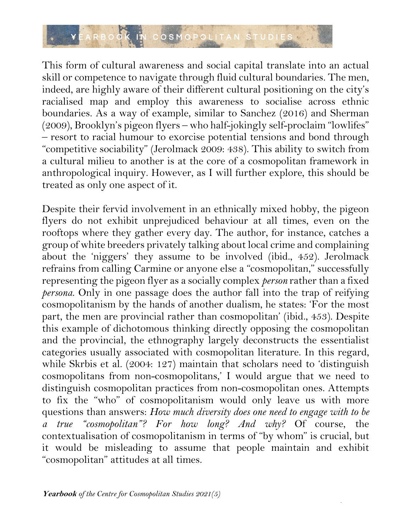

This form of cultural awareness and social capital translate into an actual skill or competence to navigate through fluid cultural boundaries. The men, indeed, are highly aware of their different cultural positioning on the city's racialised map and employ this awareness to socialise across ethnic boundaries. As a way of example, similar to Sanchez (2016) and Sherman (2009), Brooklyn's pigeon flyers – who half-jokingly self-proclaim "lowlifes" – resort to racial humour to exorcise potential tensions and bond through "competitive sociability" (Jerolmack 2009: 438). This ability to switch from a cultural milieu to another is at the core of a cosmopolitan framework in anthropological inquiry. However, as I will further explore, this should be treated as only one aspect of it.

Despite their fervid involvement in an ethnically mixed hobby, the pigeon flyers do not exhibit unprejudiced behaviour at all times, even on the rooftops where they gather every day. The author, for instance, catches a group of white breeders privately talking about local crime and complaining about the 'niggers' they assume to be involved (ibid., 452). Jerolmack refrains from calling Carmine or anyone else a "cosmopolitan," successfully representing the pigeon flyer as a socially complex *person* rather than a fixed *persona*. Only in one passage does the author fall into the trap of reifying cosmopolitanism by the hands of another dualism, he states: 'For the most part, the men are provincial rather than cosmopolitan' (ibid., 453). Despite this example of dichotomous thinking directly opposing the cosmopolitan and the provincial, the ethnography largely deconstructs the essentialist categories usually associated with cosmopolitan literature. In this regard, while Skrbis et al. (2004: 127) maintain that scholars need to 'distinguish cosmopolitans from non-cosmopolitans,' I would argue that we need to distinguish cosmopolitan practices from non-cosmopolitan ones. Attempts to fix the "who" of cosmopolitanism would only leave us with more questions than answers: *How much diversity does one need to engage with to be a true "cosmopolitan"? For how long? And why?* Of course, the contextualisation of cosmopolitanism in terms of "by whom" is crucial, but it would be misleading to assume that people maintain and exhibit "cosmopolitan" attitudes at all times.

8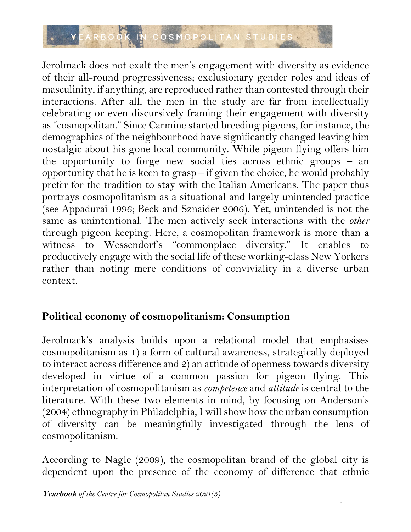

Jerolmack does not exalt the men's engagement with diversity as evidence of their all-round progressiveness; exclusionary gender roles and ideas of masculinity, if anything, are reproduced rather than contested through their interactions. After all, the men in the study are far from intellectually celebrating or even discursively framing their engagement with diversity as "cosmopolitan." Since Carmine started breeding pigeons, for instance, the demographics of the neighbourhood have significantly changed leaving him nostalgic about his gone local community. While pigeon flying offers him the opportunity to forge new social ties across ethnic groups – an opportunity that he is keen to grasp – if given the choice, he would probably prefer for the tradition to stay with the Italian Americans. The paper thus portrays cosmopolitanism as a situational and largely unintended practice (see Appadurai 1996; Beck and Sznaider 2006). Yet, unintended is not the same as unintentional. The men actively seek interactions with the *other* through pigeon keeping. Here, a cosmopolitan framework is more than a witness to Wessendorf's "commonplace diversity." It enables to productively engage with the social life of these working-class New Yorkers rather than noting mere conditions of conviviality in a diverse urban context.

## **Political economy of cosmopolitanism: Consumption**

Jerolmack's analysis builds upon a relational model that emphasises cosmopolitanism as 1) a form of cultural awareness, strategically deployed to interact across difference and 2) an attitude of openness towards diversity developed in virtue of a common passion for pigeon flying. This interpretation of cosmopolitanism as *competence* and *attitude* is central to the literature. With these two elements in mind, by focusing on Anderson's (2004) ethnography in Philadelphia, I will show how the urban consumption of diversity can be meaningfully investigated through the lens of cosmopolitanism.

According to Nagle (2009), the cosmopolitan brand of the global city is dependent upon the presence of the economy of difference that ethnic

9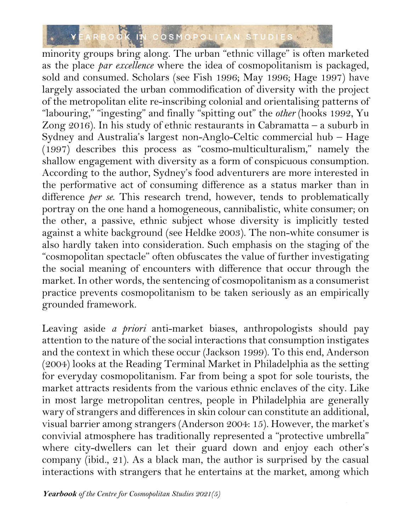# YEARBOOK IN COSMOPOLITAN STUDIES

minority groups bring along. The urban "ethnic village" is often marketed as the place *par excellence* where the idea of cosmopolitanism is packaged, sold and consumed. Scholars (see Fish 1996; May 1996; Hage 1997) have largely associated the urban commodification of diversity with the project of the metropolitan elite re-inscribing colonial and orientalising patterns of "labouring," "ingesting" and finally "spitting out" the *other* (hooks 1992, Yu Zong 2016). In his study of ethnic restaurants in Cabramatta – a suburb in Sydney and Australia's largest non-Anglo-Celtic commercial hub – Hage (1997) describes this process as "cosmo-multiculturalism," namely the shallow engagement with diversity as a form of conspicuous consumption. According to the author, Sydney's food adventurers are more interested in the performative act of consuming difference as a status marker than in difference *per se*. This research trend, however, tends to problematically portray on the one hand a homogeneous, cannibalistic, white consumer; on the other, a passive, ethnic subject whose diversity is implicitly tested against a white background (see Heldke 2003). The non-white consumer is also hardly taken into consideration. Such emphasis on the staging of the "cosmopolitan spectacle" often obfuscates the value of further investigating the social meaning of encounters with difference that occur through the market. In other words, the sentencing of cosmopolitanism as a consumerist practice prevents cosmopolitanism to be taken seriously as an empirically grounded framework.

Leaving aside *a priori* anti-market biases, anthropologists should pay attention to the nature of the social interactions that consumption instigates and the context in which these occur (Jackson 1999). To this end, Anderson (2004) looks at the Reading Terminal Market in Philadelphia as the setting for everyday cosmopolitanism. Far from being a spot for sole tourists, the market attracts residents from the various ethnic enclaves of the city. Like in most large metropolitan centres, people in Philadelphia are generally wary of strangers and differences in skin colour can constitute an additional, visual barrier among strangers (Anderson 2004: 15). However, the market's convivial atmosphere has traditionally represented a "protective umbrella" where city-dwellers can let their guard down and enjoy each other's company (ibid., 21). As a black man, the author is surprised by the casual interactions with strangers that he entertains at the market, among which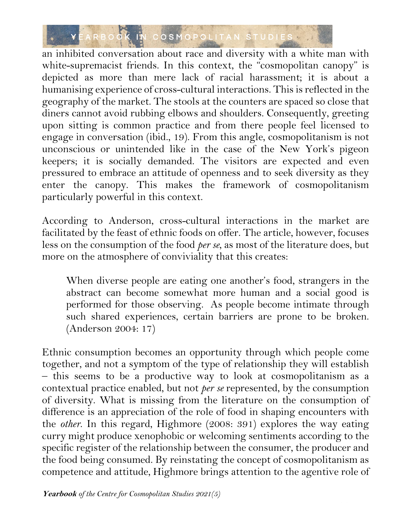

an inhibited conversation about race and diversity with a white man with white-supremacist friends. In this context, the "cosmopolitan canopy" is depicted as more than mere lack of racial harassment; it is about a humanising experience of cross-cultural interactions. This is reflected in the geography of the market. The stools at the counters are spaced so close that diners cannot avoid rubbing elbows and shoulders. Consequently, greeting upon sitting is common practice and from there people feel licensed to engage in conversation (ibid., 19). From this angle, cosmopolitanism is not unconscious or unintended like in the case of the New York's pigeon keepers; it is socially demanded. The visitors are expected and even pressured to embrace an attitude of openness and to seek diversity as they enter the canopy. This makes the framework of cosmopolitanism particularly powerful in this context.

According to Anderson, cross-cultural interactions in the market are facilitated by the feast of ethnic foods on offer. The article, however, focuses less on the consumption of the food *per se*, as most of the literature does, but more on the atmosphere of conviviality that this creates:

When diverse people are eating one another's food, strangers in the abstract can become somewhat more human and a social good is performed for those observing. As people become intimate through such shared experiences, certain barriers are prone to be broken. (Anderson 2004: 17)

Ethnic consumption becomes an opportunity through which people come together, and not a symptom of the type of relationship they will establish – this seems to be a productive way to look at cosmopolitanism as a contextual practice enabled, but not *per se* represented, by the consumption of diversity. What is missing from the literature on the consumption of difference is an appreciation of the role of food in shaping encounters with the *other*. In this regard, Highmore (2008: 391) explores the way eating curry might produce xenophobic or welcoming sentiments according to the specific register of the relationship between the consumer, the producer and the food being consumed. By reinstating the concept of cosmopolitanism as competence and attitude, Highmore brings attention to the agentive role of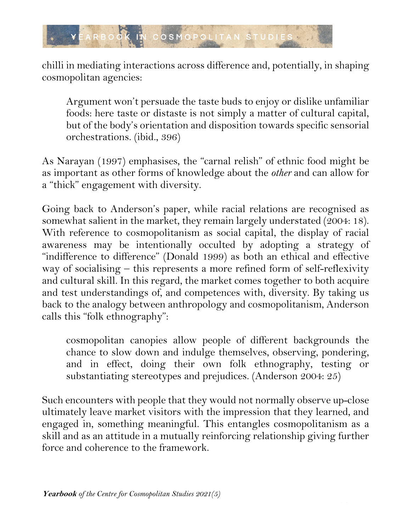

chilli in mediating interactions across difference and, potentially, in shaping cosmopolitan agencies:

Argument won't persuade the taste buds to enjoy or dislike unfamiliar foods: here taste or distaste is not simply a matter of cultural capital, but of the body's orientation and disposition towards specific sensorial orchestrations. (ibid., 396)

As Narayan (1997) emphasises, the "carnal relish" of ethnic food might be as important as other forms of knowledge about the *other* and can allow for a "thick" engagement with diversity.

Going back to Anderson's paper, while racial relations are recognised as somewhat salient in the market, they remain largely understated (2004: 18). With reference to cosmopolitanism as social capital, the display of racial awareness may be intentionally occulted by adopting a strategy of "indifference to difference" (Donald 1999) as both an ethical and effective way of socialising – this represents a more refined form of self-reflexivity and cultural skill. In this regard, the market comes together to both acquire and test understandings of, and competences with, diversity. By taking us back to the analogy between anthropology and cosmopolitanism, Anderson calls this "folk ethnography":

cosmopolitan canopies allow people of different backgrounds the chance to slow down and indulge themselves, observing, pondering, and in effect, doing their own folk ethnography, testing or substantiating stereotypes and prejudices. (Anderson 2004: 25)

Such encounters with people that they would not normally observe up-close ultimately leave market visitors with the impression that they learned, and engaged in, something meaningful. This entangles cosmopolitanism as a skill and as an attitude in a mutually reinforcing relationship giving further force and coherence to the framework.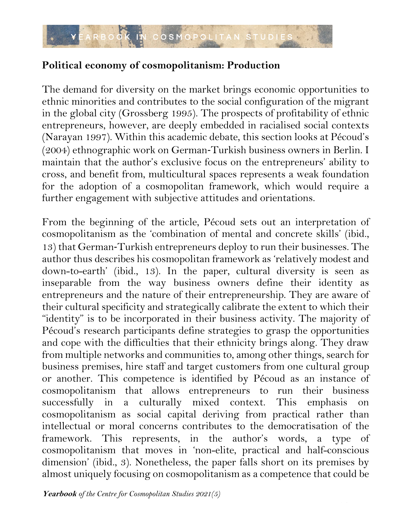## **Political economy of cosmopolitanism: Production**

The demand for diversity on the market brings economic opportunities to ethnic minorities and contributes to the social configuration of the migrant in the global city (Grossberg 1995). The prospects of profitability of ethnic entrepreneurs, however, are deeply embedded in racialised social contexts (Narayan 1997). Within this academic debate, this section looks at Pécoud's (2004) ethnographic work on German-Turkish business owners in Berlin. I maintain that the author's exclusive focus on the entrepreneurs' ability to cross, and benefit from, multicultural spaces represents a weak foundation for the adoption of a cosmopolitan framework, which would require a further engagement with subjective attitudes and orientations.

From the beginning of the article, Pécoud sets out an interpretation of cosmopolitanism as the 'combination of mental and concrete skills' (ibid., 13) that German-Turkish entrepreneurs deploy to run their businesses. The author thus describes his cosmopolitan framework as 'relatively modest and down-to-earth' (ibid., 13). In the paper, cultural diversity is seen as inseparable from the way business owners define their identity as entrepreneurs and the nature of their entrepreneurship. They are aware of their cultural specificity and strategically calibrate the extent to which their "identity" is to be incorporated in their business activity. The majority of Pécoud's research participants define strategies to grasp the opportunities and cope with the difficulties that their ethnicity brings along. They draw from multiple networks and communities to, among other things, search for business premises, hire staff and target customers from one cultural group or another. This competence is identified by Pécoud as an instance of cosmopolitanism that allows entrepreneurs to run their business successfully in a culturally mixed context. This emphasis on cosmopolitanism as social capital deriving from practical rather than intellectual or moral concerns contributes to the democratisation of the framework. This represents, in the author's words, a type of cosmopolitanism that moves in 'non-elite, practical and half-conscious dimension' (ibid., 3). Nonetheless, the paper falls short on its premises by almost uniquely focusing on cosmopolitanism as a competence that could be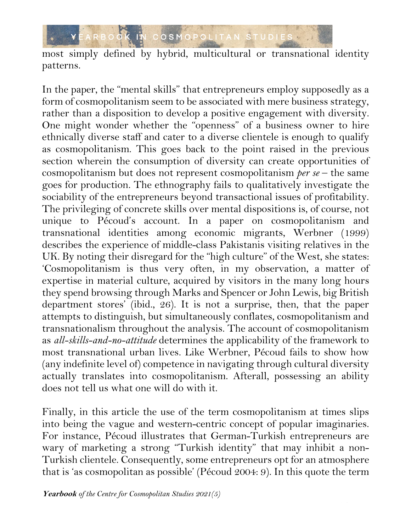

most simply defined by hybrid, multicultural or transnational identity patterns.

In the paper, the "mental skills" that entrepreneurs employ supposedly as a form of cosmopolitanism seem to be associated with mere business strategy, rather than a disposition to develop a positive engagement with diversity. One might wonder whether the "openness" of a business owner to hire ethnically diverse staff and cater to a diverse clientele is enough to qualify as cosmopolitanism. This goes back to the point raised in the previous section wherein the consumption of diversity can create opportunities of cosmopolitanism but does not represent cosmopolitanism *per se* – the same goes for production. The ethnography fails to qualitatively investigate the sociability of the entrepreneurs beyond transactional issues of profitability. The privileging of concrete skills over mental dispositions is, of course, not unique to Pécoud's account. In a paper on cosmopolitanism and transnational identities among economic migrants, Werbner (1999) describes the experience of middle-class Pakistanis visiting relatives in the UK. By noting their disregard for the "high culture" of the West, she states: 'Cosmopolitanism is thus very often, in my observation, a matter of expertise in material culture, acquired by visitors in the many long hours they spend browsing through Marks and Spencer or John Lewis, big British department stores' (ibid., 26). It is not a surprise, then, that the paper attempts to distinguish, but simultaneously conflates, cosmopolitanism and transnationalism throughout the analysis. The account of cosmopolitanism as *all-skills-and-no-attitude* determines the applicability of the framework to most transnational urban lives. Like Werbner, Pécoud fails to show how (any indefinite level of) competence in navigating through cultural diversity actually translates into cosmopolitanism. Afterall, possessing an ability does not tell us what one will do with it.

Finally, in this article the use of the term cosmopolitanism at times slips into being the vague and western-centric concept of popular imaginaries. For instance, Pécoud illustrates that German-Turkish entrepreneurs are wary of marketing a strong "Turkish identity" that may inhibit a non-Turkish clientele. Consequently, some entrepreneurs opt for an atmosphere that is 'as cosmopolitan as possible' (Pécoud 2004: 9). In this quote the term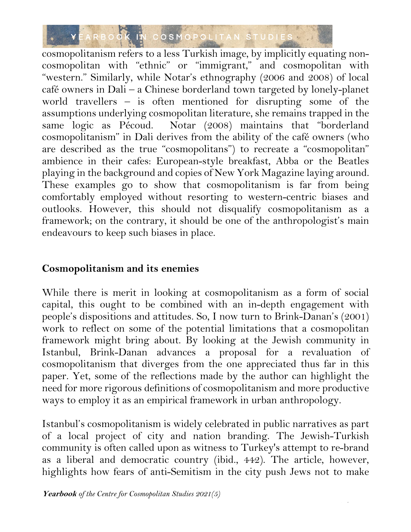

cosmopolitanism refers to a less Turkish image, by implicitly equating noncosmopolitan with "ethnic" or "immigrant," and cosmopolitan with "western." Similarly, while Notar's ethnography (2006 and 2008) of local café owners in Dali – a Chinese borderland town targeted by lonely-planet world travellers – is often mentioned for disrupting some of the assumptions underlying cosmopolitan literature, she remains trapped in the same logic as Pécoud. Notar (2008) maintains that "borderland cosmopolitanism" in Dali derives from the ability of the café owners (who are described as the true "cosmopolitans") to recreate a "cosmopolitan" ambience in their cafes: European-style breakfast, Abba or the Beatles playing in the background and copies of New York Magazine laying around. These examples go to show that cosmopolitanism is far from being comfortably employed without resorting to western-centric biases and outlooks. However, this should not disqualify cosmopolitanism as a framework; on the contrary, it should be one of the anthropologist's main endeavours to keep such biases in place.

### **Cosmopolitanism and its enemies**

While there is merit in looking at cosmopolitanism as a form of social capital, this ought to be combined with an in-depth engagement with people's dispositions and attitudes. So, I now turn to Brink-Danan's (2001) work to reflect on some of the potential limitations that a cosmopolitan framework might bring about. By looking at the Jewish community in Istanbul, Brink-Danan advances a proposal for a revaluation of cosmopolitanism that diverges from the one appreciated thus far in this paper. Yet, some of the reflections made by the author can highlight the need for more rigorous definitions of cosmopolitanism and more productive ways to employ it as an empirical framework in urban anthropology.

Istanbul's cosmopolitanism is widely celebrated in public narratives as part of a local project of city and nation branding. The Jewish-Turkish community is often called upon as witness to Turkey's attempt to re-brand as a liberal and democratic country (ibid., 442). The article, however, highlights how fears of anti-Semitism in the city push Jews not to make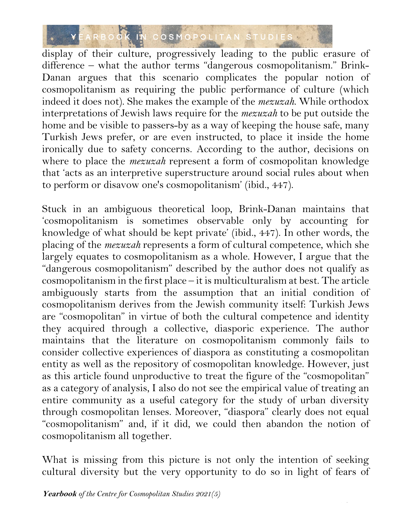

display of their culture, progressively leading to the public erasure of difference – what the author terms "dangerous cosmopolitanism." Brink-Danan argues that this scenario complicates the popular notion of cosmopolitanism as requiring the public performance of culture (which indeed it does not). She makes the example of the *mezuzah*. While orthodox interpretations of Jewish laws require for the *mezuzah* to be put outside the home and be visible to passers-by as a way of keeping the house safe, many Turkish Jews prefer, or are even instructed, to place it inside the home ironically due to safety concerns. According to the author, decisions on where to place the *mezuzah* represent a form of cosmopolitan knowledge that 'acts as an interpretive superstructure around social rules about when to perform or disavow one's cosmopolitanism' (ibid., 447).

Stuck in an ambiguous theoretical loop, Brink-Danan maintains that 'cosmopolitanism is sometimes observable only by accounting for knowledge of what should be kept private' (ibid., 447). In other words, the placing of the *mezuzah* represents a form of cultural competence, which she largely equates to cosmopolitanism as a whole. However, I argue that the "dangerous cosmopolitanism" described by the author does not qualify as cosmopolitanism in the first place – it is multiculturalism at best. The article ambiguously starts from the assumption that an initial condition of cosmopolitanism derives from the Jewish community itself: Turkish Jews are "cosmopolitan" in virtue of both the cultural competence and identity they acquired through a collective, diasporic experience. The author maintains that the literature on cosmopolitanism commonly fails to consider collective experiences of diaspora as constituting a cosmopolitan entity as well as the repository of cosmopolitan knowledge. However, just as this article found unproductive to treat the figure of the "cosmopolitan" as a category of analysis, I also do not see the empirical value of treating an entire community as a useful category for the study of urban diversity through cosmopolitan lenses. Moreover, "diaspora" clearly does not equal "cosmopolitanism" and, if it did, we could then abandon the notion of cosmopolitanism all together.

What is missing from this picture is not only the intention of seeking cultural diversity but the very opportunity to do so in light of fears of

16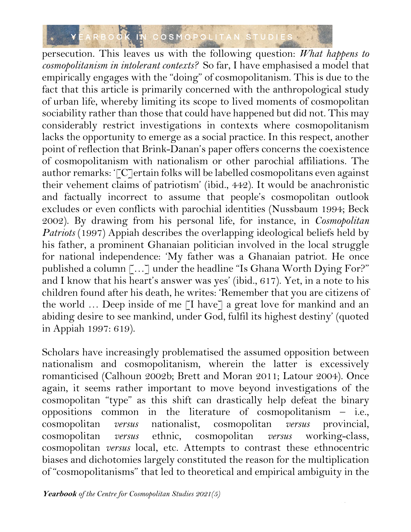

persecution. This leaves us with the following question: *What happens to cosmopolitanism in intolerant contexts?* So far, I have emphasised a model that empirically engages with the "doing" of cosmopolitanism. This is due to the fact that this article is primarily concerned with the anthropological study of urban life, whereby limiting its scope to lived moments of cosmopolitan sociability rather than those that could have happened but did not. This may considerably restrict investigations in contexts where cosmopolitanism lacks the opportunity to emerge as a social practice. In this respect, another point of reflection that Brink-Danan's paper offers concerns the coexistence of cosmopolitanism with nationalism or other parochial affiliations. The author remarks: '[C]ertain folks will be labelled cosmopolitans even against their vehement claims of patriotism' (ibid., 442). It would be anachronistic and factually incorrect to assume that people's cosmopolitan outlook excludes or even conflicts with parochial identities (Nussbaum 1994; Beck 2002). By drawing from his personal life, for instance, in *Cosmopolitan Patriots* (1997) Appiah describes the overlapping ideological beliefs held by his father, a prominent Ghanaian politician involved in the local struggle for national independence: 'My father was a Ghanaian patriot. He once published a column [...] under the headline "Is Ghana Worth Dying For?" and I know that his heart's answer was yes' (ibid., 617). Yet, in a note to his children found after his death, he writes: 'Remember that you are citizens of the world ... Deep inside of me [I have] a great love for mankind and an abiding desire to see mankind, under God, fulfil its highest destiny' (quoted in Appiah 1997: 619).

Scholars have increasingly problematised the assumed opposition between nationalism and cosmopolitanism, wherein the latter is excessively romanticised (Calhoun 2002b; Brett and Moran 2011; Latour 2004). Once again, it seems rather important to move beyond investigations of the cosmopolitan "type" as this shift can drastically help defeat the binary oppositions common in the literature of cosmopolitanism – i.e., cosmopolitan *versus* nationalist, cosmopolitan *versus* provincial, cosmopolitan *versus* ethnic, cosmopolitan *versus* working-class, cosmopolitan *versus* local, etc. Attempts to contrast these ethnocentric biases and dichotomies largely constituted the reason for the multiplication of "cosmopolitanisms" that led to theoretical and empirical ambiguity in the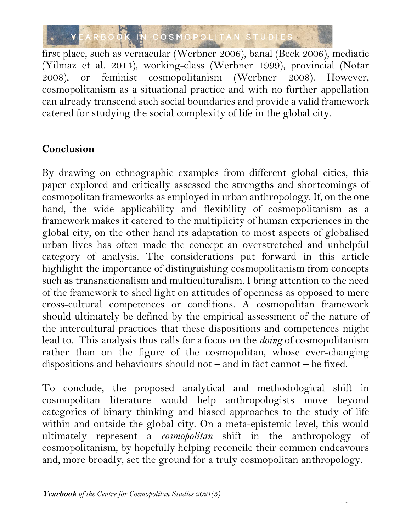

first place, such as vernacular (Werbner 2006), banal (Beck 2006), mediatic (Yilmaz et al. 2014), working-class (Werbner 1999), provincial (Notar 2008), or feminist cosmopolitanism (Werbner 2008). However, cosmopolitanism as a situational practice and with no further appellation can already transcend such social boundaries and provide a valid framework catered for studying the social complexity of life in the global city.

## **Conclusion**

By drawing on ethnographic examples from different global cities, this paper explored and critically assessed the strengths and shortcomings of cosmopolitan frameworks as employed in urban anthropology. If, on the one hand, the wide applicability and flexibility of cosmopolitanism as a framework makes it catered to the multiplicity of human experiences in the global city, on the other hand its adaptation to most aspects of globalised urban lives has often made the concept an overstretched and unhelpful category of analysis. The considerations put forward in this article highlight the importance of distinguishing cosmopolitanism from concepts such as transnationalism and multiculturalism. I bring attention to the need of the framework to shed light on attitudes of openness as opposed to mere cross-cultural competences or conditions. A cosmopolitan framework should ultimately be defined by the empirical assessment of the nature of the intercultural practices that these dispositions and competences might lead to. This analysis thus calls for a focus on the *doing* of cosmopolitanism rather than on the figure of the cosmopolitan, whose ever-changing dispositions and behaviours should not – and in fact cannot – be fixed.

To conclude, the proposed analytical and methodological shift in cosmopolitan literature would help anthropologists move beyond categories of binary thinking and biased approaches to the study of life within and outside the global city. On a meta-epistemic level, this would ultimately represent a *cosmopolitan* shift in the anthropology of cosmopolitanism, by hopefully helping reconcile their common endeavours and, more broadly, set the ground for a truly cosmopolitan anthropology.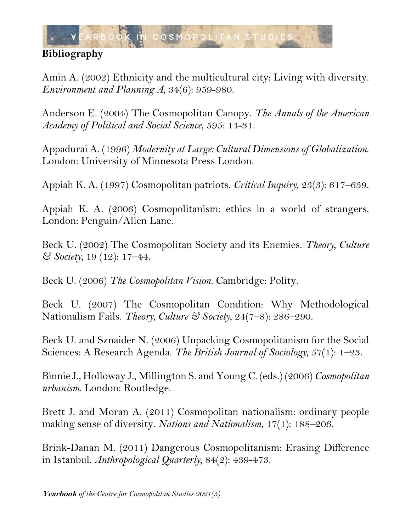

# **Bibliography**

Amin A. (2002) Ethnicity and the multicultural city: Living with diversity. *Environment and Planning A*, 34(6): 959-980.

Anderson E. (2004) The Cosmopolitan Canopy. *The Annals of the American Academy of Political and Social Science*, 595: 14-31.

Appadurai A. (1996) *Modernity at Large: Cultural Dimensions of Globalization*. London: University of Minnesota Press London.

Appiah K. A. (1997) Cosmopolitan patriots. *Critical Inquiry*, 23(3): 617–639.

Appiah K. A. (2006) Cosmopolitanism: ethics in a world of strangers. London: Penguin/Allen Lane.

Beck U. (2002) The Cosmopolitan Society and its Enemies. *Theory, Culture & Society,* 19 (12): 17–44.

Beck U. (2006) *The Cosmopolitan Vision*. Cambridge: Polity.

Beck U. (2007) The Cosmopolitan Condition: Why Methodological Nationalism Fails. *Theory, Culture & Society*, 24(7–8): 286–290.

Beck U. and Sznaider N. (2006) Unpacking Cosmopolitanism for the Social Sciences: A Research Agenda. *The British Journal of Sociology,* 57(1): 1–23.

Binnie J., Holloway J., Millington S. and Young C. (eds.) (2006) *Cosmopolitan urbanism*. London: Routledge.

Brett J. and Moran A. (2011) Cosmopolitan nationalism: ordinary people making sense of diversity. *Nations and Nationalism*, 17(1): 188–206.

Brink-Danan M. (2011) Dangerous Cosmopolitanism: Erasing Difference in Istanbul. *Anthropological Quarterly*, 84(2): 439-473.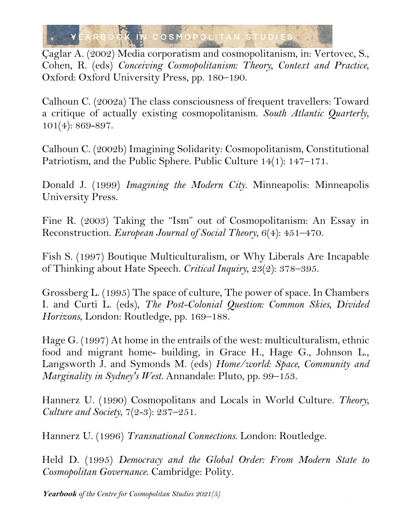

Çaglar A. (2002) Media corporatism and cosmopolitanism, in: Vertovec, S., Cohen, R. (eds) *Conceiving Cosmopolitanism: Theory, Context and Practice*, Oxford: Oxford University Press, pp. 180–190.

Calhoun C. (2002a) The class consciousness of frequent travellers: Toward a critique of actually existing cosmopolitanism. *South Atlantic Quarterly*, 101(4): 869-897.

Calhoun C. (2002b) Imagining Solidarity: Cosmopolitanism, Constitutional Patriotism, and the Public Sphere. Public Culture 14(1): 147–171.

Donald J. (1999) *Imagining the Modern City.* Minneapolis: Minneapolis University Press.

Fine R. (2003) Taking the "Ism" out of Cosmopolitanism: An Essay in Reconstruction. *European Journal of Social Theory*, 6(4): 451–470.

Fish S. (1997) Boutique Multiculturalism, or Why Liberals Are Incapable of Thinking about Hate Speech. *Critical Inquiry*, 23(2): 378–395.

Grossberg L. (1995) The space of culture, The power of space. In Chambers I. and Curti L. (eds), *The Post-Colonial Question: Common Skies, Divided Horizons*, London: Routledge, pp. 169–188.

Hage G. (1997) At home in the entrails of the west: multiculturalism, ethnic food and migrant home- building, in Grace H., Hage G., Johnson L., Langsworth J. and Symonds M. (eds) *Home/world: Space, Community and Marginality in Sydney's West.* Annandale: Pluto, pp. 99–153.

Hannerz U. (1990) Cosmopolitans and Locals in World Culture. *Theory, Culture and Society*, 7(2-3): 237–251.

Hannerz U. (1996) *Transnational Connections*. London: Routledge.

Held D. (1995) *Democracy and the Global Order: From Modern State to Cosmopolitan Governance*. Cambridge: Polity.

20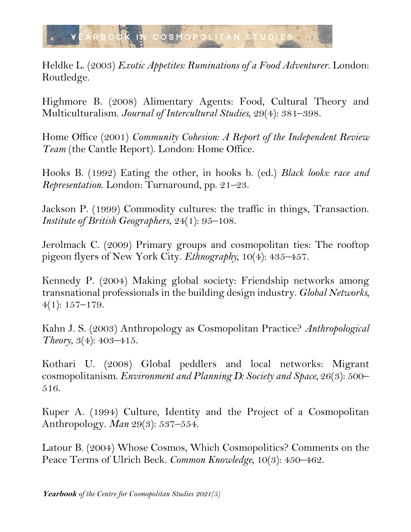

Heldke L. (2003) *Exotic Appetites: Ruminations of a Food Adventurer*. London: Routledge.

Highmore B. (2008) Alimentary Agents: Food, Cultural Theory and Multiculturalism. *Journal of Intercultural Studies*, 29(4): 381–398.

Home Office (2001) *Community Cohesion: A Report of the Independent Review Team* (the Cantle Report). London: Home Office.

Hooks B. (1992) Eating the other, in hooks b. (ed.) *Black looks: race and Representation*. London: Turnaround, pp. 21–23.

Jackson P. (1999) Commodity cultures: the traffic in things, Transaction. *Institute of British Geographers*, 24(1): 95–108.

Jerolmack C. (2009) Primary groups and cosmopolitan ties: The rooftop pigeon flyers of New York City. *Ethnography,* 10(4): 435–457.

Kennedy P. (2004) Making global society: Friendship networks among transnational professionals in the building design industry. *Global Networks,*  $4(1): 157 - 179.$ 

Kahn J. S. (2003) Anthropology as Cosmopolitan Practice? *Anthropological Theory*, 3(4): 403–415.

Kothari U. (2008) Global peddlers and local networks: Migrant cosmopolitanism. *Environment and Planning D: Society and Space,* 26(3): 500– 516.

Kuper A. (1994) Culture, Identity and the Project of a Cosmopolitan Anthropology. *Man* 29(3): 537–554.

Latour B. (2004) Whose Cosmos, Which Cosmopolitics? Comments on the Peace Terms of Ulrich Beck. *Common Knowledge,* 10(3): 450–462.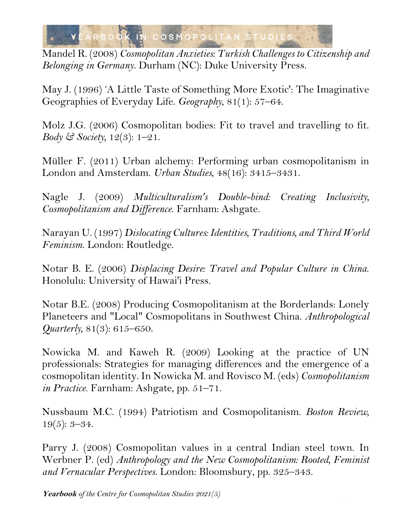

Mandel R. (2008) *Cosmopolitan Anxieties: Turkish Challenges to Citizenship and Belonging in Germany.* Durham (NC): Duke University Press.

May J. (1996) 'A Little Taste of Something More Exotic': The Imaginative Geographies of Everyday Life. *Geography*, 81(1): 57–64.

Molz J.G. (2006) Cosmopolitan bodies: Fit to travel and travelling to fit. *Body & Society,* 12(3): 1–21.

Müller F. (2011) Urban alchemy: Performing urban cosmopolitanism in London and Amsterdam. *Urban Studies*, 48(16): 3415–3431.

Nagle J. (2009) *Multiculturalism's Double-bind: Creating Inclusivity, Cosmopolitanism and Difference*. Farnham: Ashgate.

Narayan U. (1997) *Dislocating Cultures: Identities, Traditions, and Third World Feminism*. London: Routledge.

Notar B. E. (2006) *Displacing Desire: Travel and Popular Culture in China*. Honolulu: University of Hawai'i Press.

Notar B.E. (2008) Producing Cosmopolitanism at the Borderlands: Lonely Planeteers and "Local" Cosmopolitans in Southwest China. *Anthropological Quarterly,* 81(3): 615–650.

Nowicka M. and Kaweh R. (2009) Looking at the practice of UN professionals: Strategies for managing differences and the emergence of a cosmopolitan identity. In Nowicka M. and Rovisco M. (eds) *Cosmopolitanism in Practice*. Farnham: Ashgate, pp. 51–71.

Nussbaum M.C. (1994) Patriotism and Cosmopolitanism. *Boston Review,* 19(5): 3–34.

Parry J. (2008) Cosmopolitan values in a central Indian steel town. In Werbner P. (ed) *Anthropology and the New Cosmopolitanism: Rooted, Feminist and Vernacular Perspectives*. London: Bloomsbury, pp. 325–343.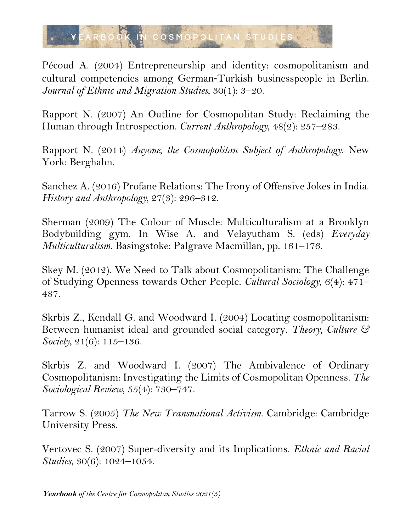

Pécoud A. (2004) Entrepreneurship and identity: cosmopolitanism and cultural competencies among German-Turkish businesspeople in Berlin. *Journal of Ethnic and Migration Studies*, 30(1): 3–20.

Rapport N. (2007) An Outline for Cosmopolitan Study: Reclaiming the Human through Introspection. *Current Anthropology*, 48(2): 257–283.

Rapport N. (2014) *Anyone, the Cosmopolitan Subject of Anthropology*. New York: Berghahn.

Sanchez A. (2016) Profane Relations: The Irony of Offensive Jokes in India. *History and Anthropology,* 27(3): 296–312.

Sherman (2009) The Colour of Muscle: Multiculturalism at a Brooklyn Bodybuilding gym. In Wise A. and Velayutham S. (eds) *Everyday Multiculturalism*. Basingstoke: Palgrave Macmillan, pp. 161–176.

Skey M. (2012). We Need to Talk about Cosmopolitanism: The Challenge of Studying Openness towards Other People. *Cultural Sociology*, 6(4): 471– 487.

Skrbis Z., Kendall G. and Woodward I. (2004) Locating cosmopolitanism: Between humanist ideal and grounded social category. *Theory, Culture & Society,* 21(6): 115–136.

Skrbis Z. and Woodward I. (2007) The Ambivalence of Ordinary Cosmopolitanism: Investigating the Limits of Cosmopolitan Openness. *The Sociological Review*, 55(4): 730–747.

Tarrow S. (2005) *The New Transnational Activism*. Cambridge: Cambridge University Press.

Vertovec S. (2007) Super-diversity and its Implications. *Ethnic and Racial Studies*, 30(6): 1024–1054.